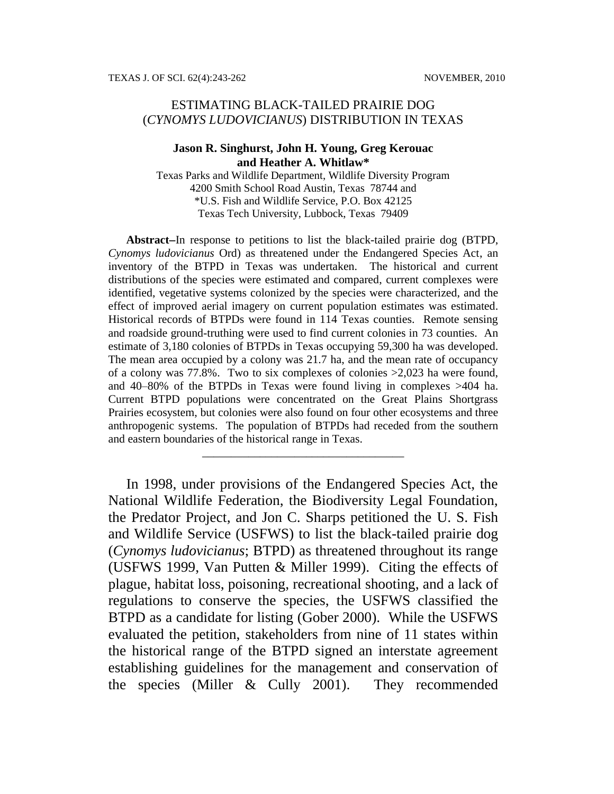# ESTIMATING BLACK-TAILED PRAIRIE DOG (*CYNOMYS LUDOVICIANUS*) DISTRIBUTION IN TEXAS

#### **Jason R. Singhurst, John H. Young, Greg Kerouac and Heather A. Whitlaw\***

Texas Parks and Wildlife Department, Wildlife Diversity Program 4200 Smith School Road Austin, Texas 78744 and \*U.S. Fish and Wildlife Service, P.O. Box 42125 Texas Tech University, Lubbock, Texas 79409

Abstract–In response to petitions to list the black-tailed prairie dog (BTPD, *Cynomys ludovicianus* Ord) as threatened under the Endangered Species Act, an inventory of the BTPD in Texas was undertaken. The historical and current distributions of the species were estimated and compared, current complexes were identified, vegetative systems colonized by the species were characterized, and the effect of improved aerial imagery on current population estimates was estimated. Historical records of BTPDs were found in 114 Texas counties. Remote sensing and roadside ground-truthing were used to find current colonies in 73 counties. An estimate of 3,180 colonies of BTPDs in Texas occupying 59,300 ha was developed. The mean area occupied by a colony was 21.7 ha, and the mean rate of occupancy of a colony was 77.8%. Two to six complexes of colonies >2,023 ha were found, and 40–80% of the BTPDs in Texas were found living in complexes >404 ha. Current BTPD populations were concentrated on the Great Plains Shortgrass Prairies ecosystem, but colonies were also found on four other ecosystems and three anthropogenic systems. The population of BTPDs had receded from the southern and eastern boundaries of the historical range in Texas.

\_\_\_\_\_\_\_\_\_\_\_\_\_\_\_\_\_\_\_\_\_\_\_\_\_\_\_\_\_\_\_\_\_\_\_

In 1998, under provisions of the Endangered Species Act, the National Wildlife Federation, the Biodiversity Legal Foundation, the Predator Project, and Jon C. Sharps petitioned the U. S. Fish and Wildlife Service (USFWS) to list the black-tailed prairie dog (*Cynomys ludovicianus*; BTPD) as threatened throughout its range (USFWS 1999, Van Putten & Miller 1999). Citing the effects of plague, habitat loss, poisoning, recreational shooting, and a lack of regulations to conserve the species, the USFWS classified the BTPD as a candidate for listing (Gober 2000). While the USFWS evaluated the petition, stakeholders from nine of 11 states within the historical range of the BTPD signed an interstate agreement establishing guidelines for the management and conservation of the species (Miller & Cully 2001). They recommended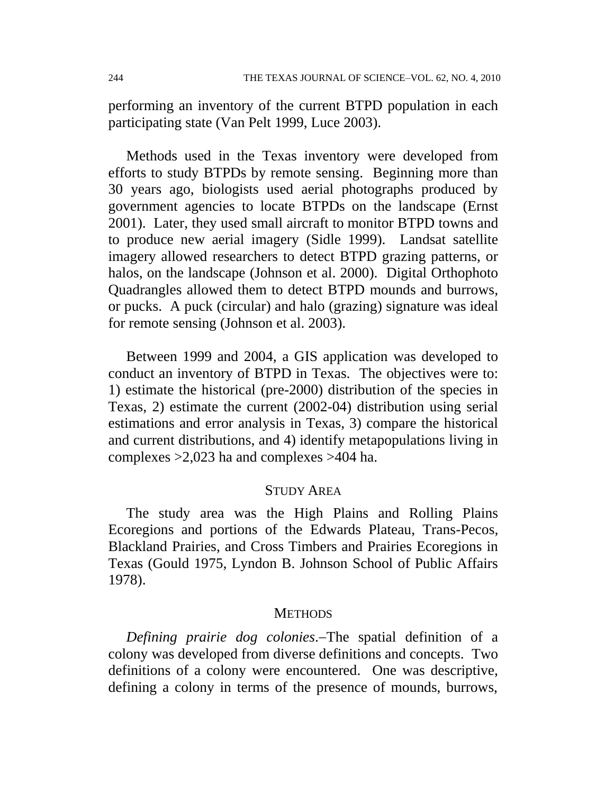performing an inventory of the current BTPD population in each participating state (Van Pelt 1999, Luce 2003).

Methods used in the Texas inventory were developed from efforts to study BTPDs by remote sensing. Beginning more than 30 years ago, biologists used aerial photographs produced by government agencies to locate BTPDs on the landscape (Ernst 2001). Later, they used small aircraft to monitor BTPD towns and to produce new aerial imagery (Sidle 1999). Landsat satellite imagery allowed researchers to detect BTPD grazing patterns, or halos, on the landscape (Johnson et al. 2000). Digital Orthophoto Quadrangles allowed them to detect BTPD mounds and burrows, or pucks. A puck (circular) and halo (grazing) signature was ideal for remote sensing (Johnson et al. 2003).

Between 1999 and 2004, a GIS application was developed to conduct an inventory of BTPD in Texas. The objectives were to: 1) estimate the historical (pre-2000) distribution of the species in Texas, 2) estimate the current (2002-04) distribution using serial estimations and error analysis in Texas, 3) compare the historical and current distributions, and 4) identify metapopulations living in complexes >2,023 ha and complexes >404 ha.

## STUDY AREA

The study area was the High Plains and Rolling Plains Ecoregions and portions of the Edwards Plateau, Trans-Pecos, Blackland Prairies, and Cross Timbers and Prairies Ecoregions in Texas (Gould 1975, Lyndon B. Johnson School of Public Affairs 1978).

### **METHODS**

*Defining prairie dog colonies*.The spatial definition of a colony was developed from diverse definitions and concepts. Two definitions of a colony were encountered. One was descriptive, defining a colony in terms of the presence of mounds, burrows,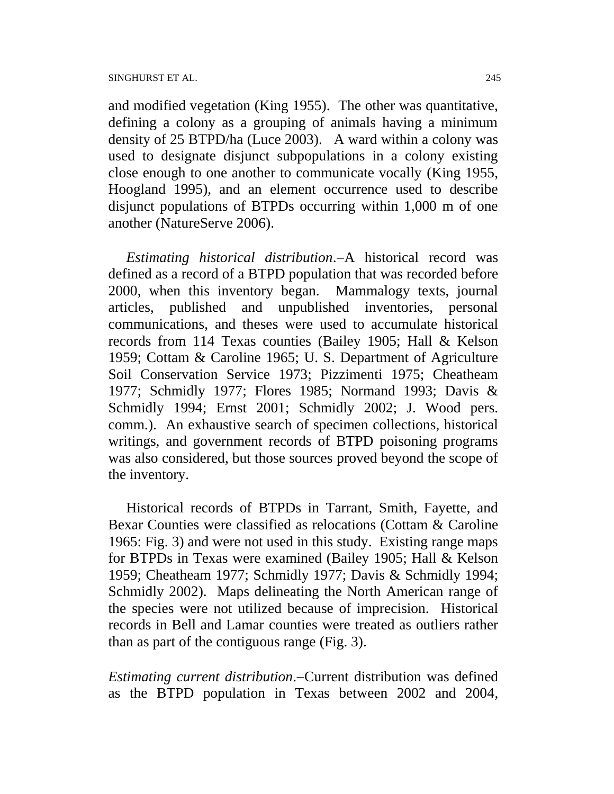and modified vegetation (King 1955). The other was quantitative, defining a colony as a grouping of animals having a minimum density of 25 BTPD/ha (Luce 2003). A ward within a colony was used to designate disjunct subpopulations in a colony existing close enough to one another to communicate vocally (King 1955, Hoogland 1995), and an element occurrence used to describe disjunct populations of BTPDs occurring within 1,000 m of one another (NatureServe 2006).

*Estimating historical distribution*.A historical record was defined as a record of a BTPD population that was recorded before 2000, when this inventory began. Mammalogy texts, journal articles, published and unpublished inventories, personal communications, and theses were used to accumulate historical records from 114 Texas counties (Bailey 1905; Hall & Kelson 1959; Cottam & Caroline 1965; U. S. Department of Agriculture Soil Conservation Service 1973; Pizzimenti 1975; Cheatheam 1977; Schmidly 1977; Flores 1985; Normand 1993; Davis & Schmidly 1994; Ernst 2001; Schmidly 2002; J. Wood pers. comm.). An exhaustive search of specimen collections, historical writings, and government records of BTPD poisoning programs was also considered, but those sources proved beyond the scope of the inventory.

Historical records of BTPDs in Tarrant, Smith, Fayette, and Bexar Counties were classified as relocations (Cottam & Caroline 1965: Fig. 3) and were not used in this study. Existing range maps for BTPDs in Texas were examined (Bailey 1905; Hall & Kelson 1959; Cheatheam 1977; Schmidly 1977; Davis & Schmidly 1994; Schmidly 2002). Maps delineating the North American range of the species were not utilized because of imprecision. Historical records in Bell and Lamar counties were treated as outliers rather than as part of the contiguous range (Fig. 3).

*Estimating current distribution*.Current distribution was defined as the BTPD population in Texas between 2002 and 2004,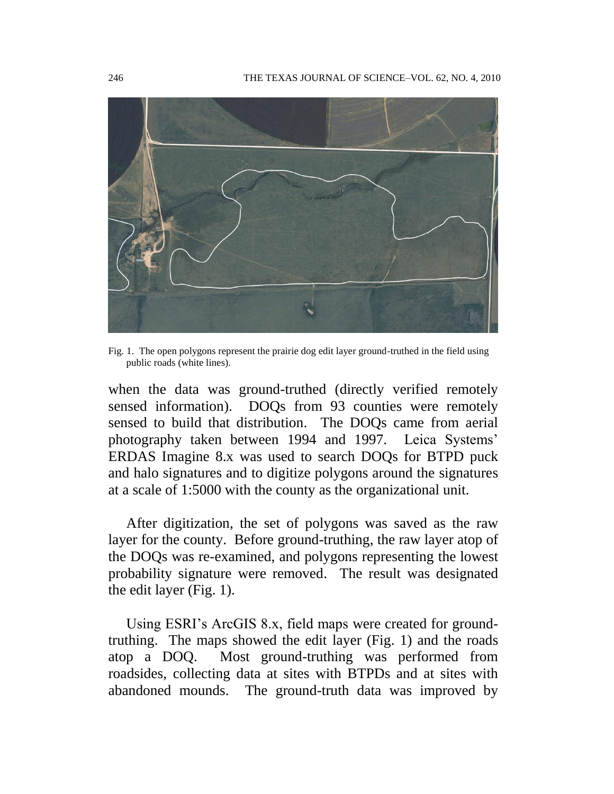

Fig. 1. The open polygons represent the prairie dog edit layer ground-truthed in the field using public roads (white lines).

when the data was ground-truthed (directly verified remotely sensed information). DOQs from 93 counties were remotely sensed to build that distribution. The DOQs came from aerial photography taken between 1994 and 1997. Leica Systems' ERDAS Imagine 8.x was used to search DOQs for BTPD puck and halo signatures and to digitize polygons around the signatures at a scale of 1:5000 with the county as the organizational unit.

After digitization, the set of polygons was saved as the raw layer for the county. Before ground-truthing, the raw layer atop of the DOQs was re-examined, and polygons representing the lowest probability signature were removed. The result was designated the edit layer (Fig. 1).

Using ESRI's ArcGIS 8.x, field maps were created for groundtruthing. The maps showed the edit layer (Fig. 1) and the roads atop a DOQ. Most ground-truthing was performed from roadsides, collecting data at sites with BTPDs and at sites with abandoned mounds. The ground-truth data was improved by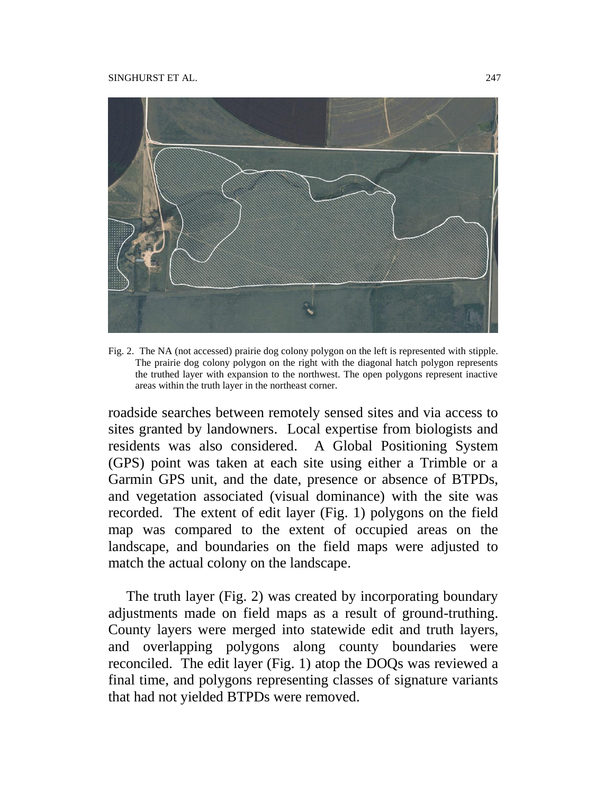

Fig. 2. The NA (not accessed) prairie dog colony polygon on the left is represented with stipple. The prairie dog colony polygon on the right with the diagonal hatch polygon represents the truthed layer with expansion to the northwest. The open polygons represent inactive areas within the truth layer in the northeast corner.

roadside searches between remotely sensed sites and via access to sites granted by landowners. Local expertise from biologists and residents was also considered. A Global Positioning System (GPS) point was taken at each site using either a Trimble or a Garmin GPS unit, and the date, presence or absence of BTPDs, and vegetation associated (visual dominance) with the site was recorded. The extent of edit layer (Fig. 1) polygons on the field map was compared to the extent of occupied areas on the landscape, and boundaries on the field maps were adjusted to match the actual colony on the landscape.

The truth layer (Fig. 2) was created by incorporating boundary adjustments made on field maps as a result of ground-truthing. County layers were merged into statewide edit and truth layers, and overlapping polygons along county boundaries were reconciled. The edit layer (Fig. 1) atop the DOQs was reviewed a final time, and polygons representing classes of signature variants that had not yielded BTPDs were removed.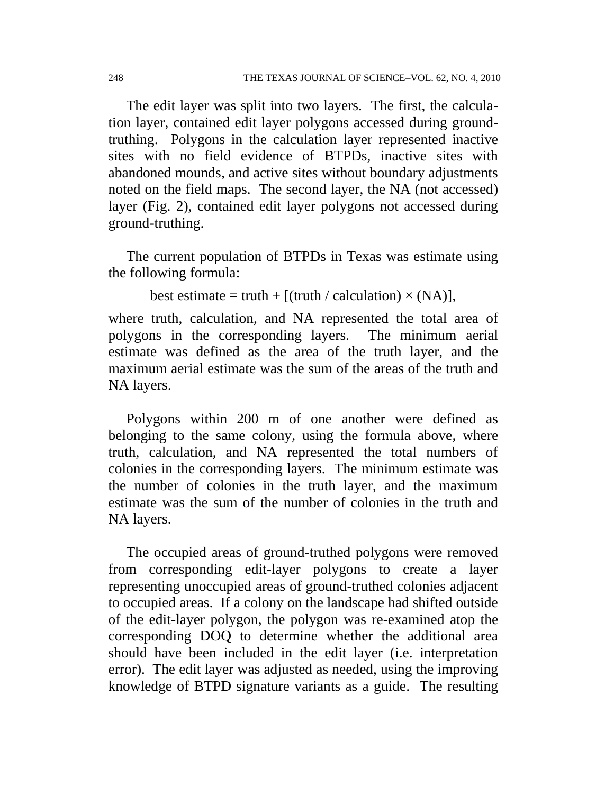The edit layer was split into two layers. The first, the calculation layer, contained edit layer polygons accessed during groundtruthing. Polygons in the calculation layer represented inactive sites with no field evidence of BTPDs, inactive sites with abandoned mounds, and active sites without boundary adjustments noted on the field maps. The second layer, the NA (not accessed) layer (Fig. 2), contained edit layer polygons not accessed during ground-truthing.

The current population of BTPDs in Texas was estimate using the following formula:

```
best estimate = truth + [(truth / calculation) \times (NA)],
```
where truth, calculation, and NA represented the total area of polygons in the corresponding layers. The minimum aerial estimate was defined as the area of the truth layer, and the maximum aerial estimate was the sum of the areas of the truth and NA layers.

Polygons within 200 m of one another were defined as belonging to the same colony, using the formula above, where truth, calculation, and NA represented the total numbers of colonies in the corresponding layers. The minimum estimate was the number of colonies in the truth layer, and the maximum estimate was the sum of the number of colonies in the truth and NA layers.

The occupied areas of ground-truthed polygons were removed from corresponding edit-layer polygons to create a layer representing unoccupied areas of ground-truthed colonies adjacent to occupied areas. If a colony on the landscape had shifted outside of the edit-layer polygon, the polygon was re-examined atop the corresponding DOQ to determine whether the additional area should have been included in the edit layer (i.e. interpretation error). The edit layer was adjusted as needed, using the improving knowledge of BTPD signature variants as a guide. The resulting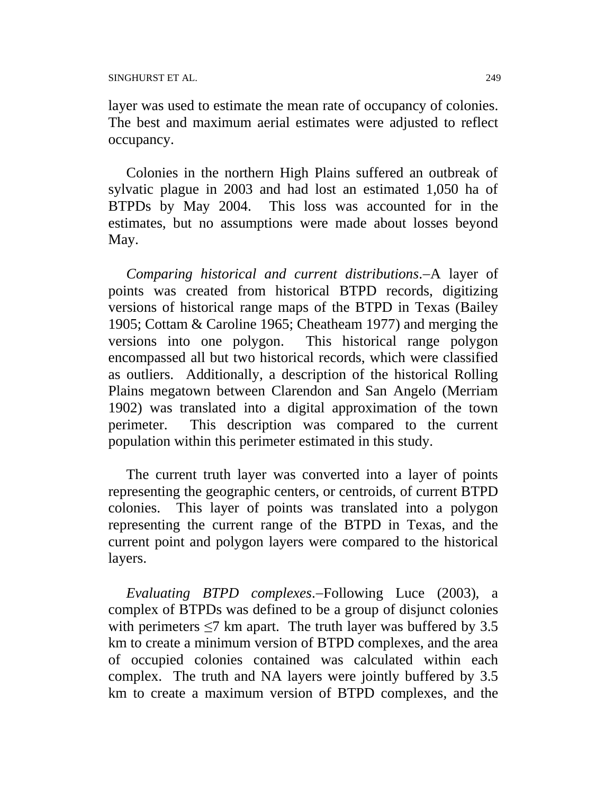layer was used to estimate the mean rate of occupancy of colonies. The best and maximum aerial estimates were adjusted to reflect occupancy.

Colonies in the northern High Plains suffered an outbreak of sylvatic plague in 2003 and had lost an estimated 1,050 ha of BTPDs by May 2004. This loss was accounted for in the estimates, but no assumptions were made about losses beyond May.

*Comparing historical and current distributions*.A layer of points was created from historical BTPD records, digitizing versions of historical range maps of the BTPD in Texas (Bailey 1905; Cottam & Caroline 1965; Cheatheam 1977) and merging the versions into one polygon. This historical range polygon encompassed all but two historical records, which were classified as outliers. Additionally, a description of the historical Rolling Plains megatown between Clarendon and San Angelo (Merriam 1902) was translated into a digital approximation of the town perimeter. This description was compared to the current population within this perimeter estimated in this study.

The current truth layer was converted into a layer of points representing the geographic centers, or centroids, of current BTPD colonies. This layer of points was translated into a polygon representing the current range of the BTPD in Texas, and the current point and polygon layers were compared to the historical layers.

*Evaluating BTPD complexes.*-Following Luce (2003), a complex of BTPDs was defined to be a group of disjunct colonies with perimeters  $\leq$ 7 km apart. The truth layer was buffered by 3.5 km to create a minimum version of BTPD complexes, and the area of occupied colonies contained was calculated within each complex. The truth and NA layers were jointly buffered by 3.5 km to create a maximum version of BTPD complexes, and the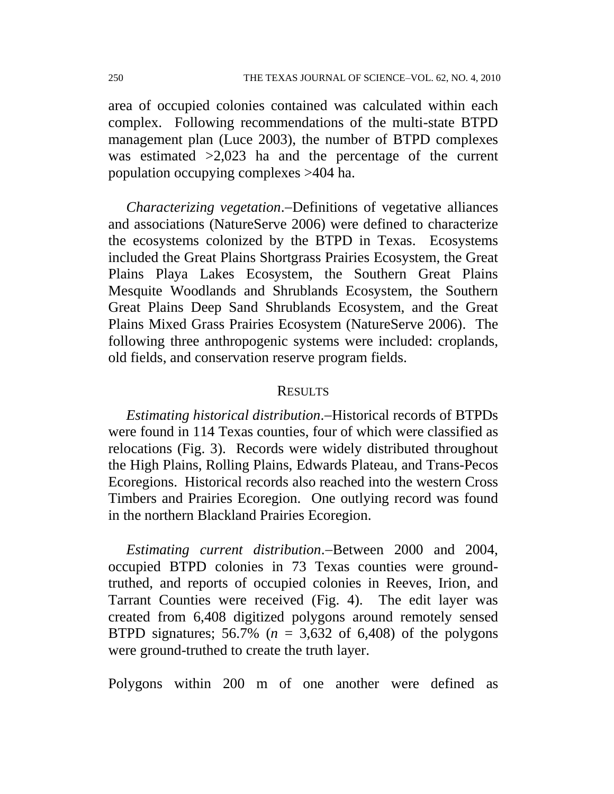area of occupied colonies contained was calculated within each complex. Following recommendations of the multi-state BTPD management plan (Luce 2003), the number of BTPD complexes was estimated >2,023 ha and the percentage of the current population occupying complexes >404 ha.

*Characterizing vegetation.*-Definitions of vegetative alliances and associations (NatureServe 2006) were defined to characterize the ecosystems colonized by the BTPD in Texas. Ecosystems included the Great Plains Shortgrass Prairies Ecosystem, the Great Plains Playa Lakes Ecosystem, the Southern Great Plains Mesquite Woodlands and Shrublands Ecosystem, the Southern Great Plains Deep Sand Shrublands Ecosystem, and the Great Plains Mixed Grass Prairies Ecosystem (NatureServe 2006). The following three anthropogenic systems were included: croplands, old fields, and conservation reserve program fields.

### **RESULTS**

*Estimating historical distribution*.–Historical records of BTPDs were found in 114 Texas counties, four of which were classified as relocations (Fig. 3). Records were widely distributed throughout the High Plains, Rolling Plains, Edwards Plateau, and Trans-Pecos Ecoregions. Historical records also reached into the western Cross Timbers and Prairies Ecoregion. One outlying record was found in the northern Blackland Prairies Ecoregion.

*Estimating current distribution*.—Between 2000 and 2004, occupied BTPD colonies in 73 Texas counties were groundtruthed, and reports of occupied colonies in Reeves, Irion, and Tarrant Counties were received (Fig. 4). The edit layer was created from 6,408 digitized polygons around remotely sensed BTPD signatures; 56.7% ( $n = 3,632$  of 6,408) of the polygons were ground-truthed to create the truth layer.

Polygons within 200 m of one another were defined as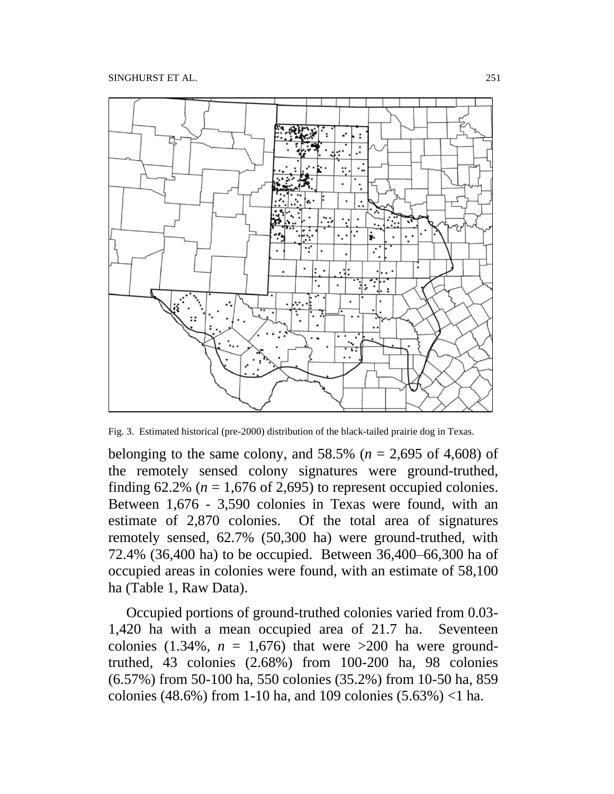

Fig. 3. Estimated historical (pre-2000) distribution of the black-tailed prairie dog in Texas.

belonging to the same colony, and  $58.5\%$  ( $n = 2,695$  of 4,608) of the remotely sensed colony signatures were ground-truthed, finding  $62.2\%$  ( $n = 1,676$  of 2,695) to represent occupied colonies. Between 1,676 - 3,590 colonies in Texas were found, with an estimate of 2,870 colonies. Of the total area of signatures remotely sensed, 62.7% (50,300 ha) were ground-truthed, with 72.4% (36,400 ha) to be occupied. Between 36,400–66,300 ha of occupied areas in colonies were found, with an estimate of 58,100 ha (Table 1, Raw Data).

Occupied portions of ground-truthed colonies varied from 0.03- 1,420 ha with a mean occupied area of 21.7 ha. Seventeen colonies  $(1.34\%, n = 1.676)$  that were  $>200$  ha were groundtruthed, 43 colonies (2.68%) from 100-200 ha, 98 colonies (6.57%) from 50-100 ha, 550 colonies (35.2%) from 10-50 ha, 859 colonies (48.6%) from 1-10 ha, and 109 colonies (5.63%) <1 ha.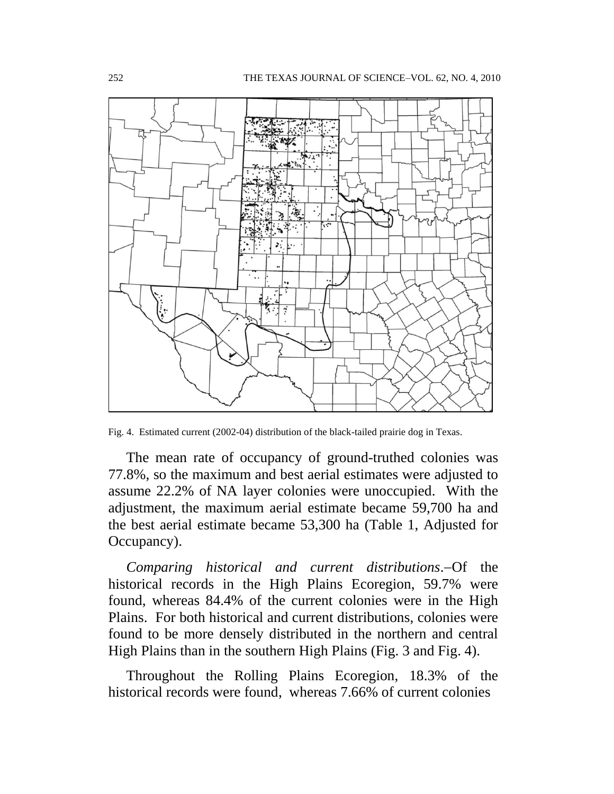

Fig. 4. Estimated current (2002-04) distribution of the black-tailed prairie dog in Texas.

The mean rate of occupancy of ground-truthed colonies was 77.8%, so the maximum and best aerial estimates were adjusted to assume 22.2% of NA layer colonies were unoccupied. With the adjustment, the maximum aerial estimate became 59,700 ha and the best aerial estimate became 53,300 ha (Table 1, Adjusted for Occupancy).

*Comparing historical and current distributions.* Of the historical records in the High Plains Ecoregion, 59.7% were found, whereas 84.4% of the current colonies were in the High Plains. For both historical and current distributions, colonies were found to be more densely distributed in the northern and central High Plains than in the southern High Plains (Fig. 3 and Fig. 4).

Throughout the Rolling Plains Ecoregion, 18.3% of the historical records were found, whereas 7.66% of current colonies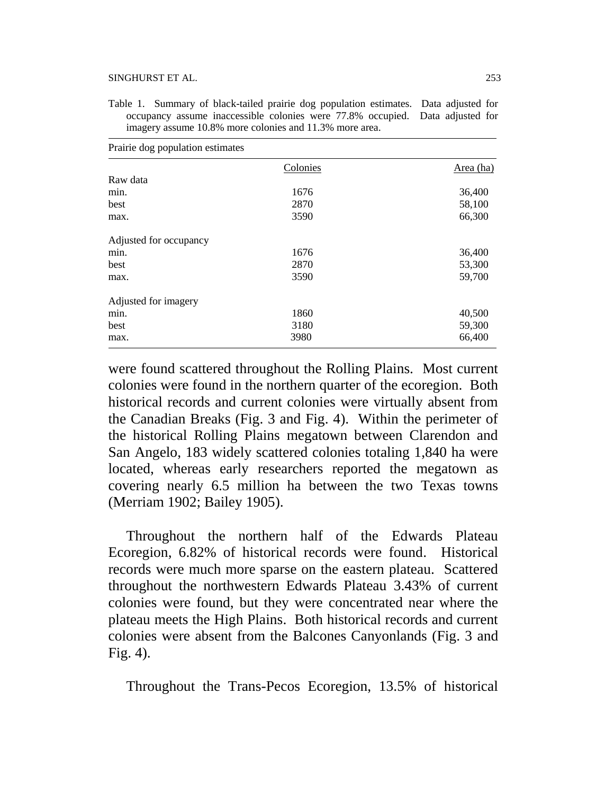#### SINGHURST ET AL. 253

Table 1. Summary of black-tailed prairie dog population estimates. Data adjusted for occupancy assume inaccessible colonies were 77.8% occupied. Data adjusted for imagery assume 10.8% more colonies and 11.3% more area.

| Prairie dog population estimates |          |           |
|----------------------------------|----------|-----------|
|                                  | Colonies | Area (ha) |
| Raw data                         |          |           |
| min.                             | 1676     | 36,400    |
| best                             | 2870     | 58,100    |
| max.                             | 3590     | 66,300    |
| Adjusted for occupancy           |          |           |
| min.                             | 1676     | 36,400    |
| best                             | 2870     | 53,300    |
| max.                             | 3590     | 59,700    |
| Adjusted for imagery             |          |           |
| min.                             | 1860     | 40,500    |
| best                             | 3180     | 59,300    |
| max.                             | 3980     | 66,400    |

were found scattered throughout the Rolling Plains. Most current colonies were found in the northern quarter of the ecoregion. Both historical records and current colonies were virtually absent from the Canadian Breaks (Fig. 3 and Fig. 4). Within the perimeter of the historical Rolling Plains megatown between Clarendon and San Angelo, 183 widely scattered colonies totaling 1,840 ha were located, whereas early researchers reported the megatown as covering nearly 6.5 million ha between the two Texas towns (Merriam 1902; Bailey 1905).

Throughout the northern half of the Edwards Plateau Ecoregion, 6.82% of historical records were found. Historical records were much more sparse on the eastern plateau. Scattered throughout the northwestern Edwards Plateau 3.43% of current colonies were found, but they were concentrated near where the plateau meets the High Plains. Both historical records and current colonies were absent from the Balcones Canyonlands (Fig. 3 and Fig. 4).

Throughout the Trans-Pecos Ecoregion, 13.5% of historical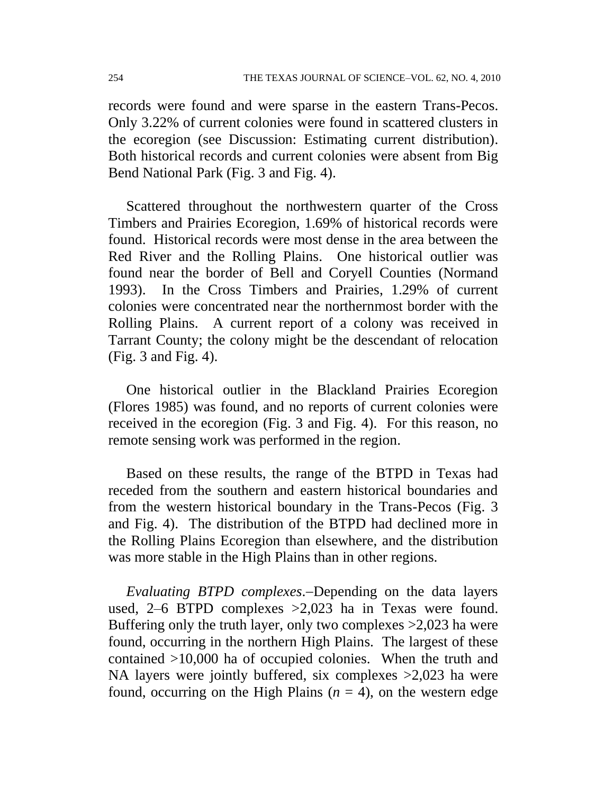records were found and were sparse in the eastern Trans-Pecos. Only 3.22% of current colonies were found in scattered clusters in the ecoregion (see Discussion: Estimating current distribution). Both historical records and current colonies were absent from Big Bend National Park (Fig. 3 and Fig. 4).

Scattered throughout the northwestern quarter of the Cross Timbers and Prairies Ecoregion, 1.69% of historical records were found. Historical records were most dense in the area between the Red River and the Rolling Plains. One historical outlier was found near the border of Bell and Coryell Counties (Normand 1993). In the Cross Timbers and Prairies, 1.29% of current colonies were concentrated near the northernmost border with the Rolling Plains. A current report of a colony was received in Tarrant County; the colony might be the descendant of relocation (Fig. 3 and Fig. 4).

One historical outlier in the Blackland Prairies Ecoregion (Flores 1985) was found, and no reports of current colonies were received in the ecoregion (Fig. 3 and Fig. 4). For this reason, no remote sensing work was performed in the region.

Based on these results, the range of the BTPD in Texas had receded from the southern and eastern historical boundaries and from the western historical boundary in the Trans-Pecos (Fig. 3 and Fig. 4). The distribution of the BTPD had declined more in the Rolling Plains Ecoregion than elsewhere, and the distribution was more stable in the High Plains than in other regions.

*Evaluating BTPD complexes*.—Depending on the data layers used, 2–6 BTPD complexes >2,023 ha in Texas were found. Buffering only the truth layer, only two complexes >2,023 ha were found, occurring in the northern High Plains. The largest of these contained >10,000 ha of occupied colonies. When the truth and NA layers were jointly buffered, six complexes >2,023 ha were found, occurring on the High Plains  $(n = 4)$ , on the western edge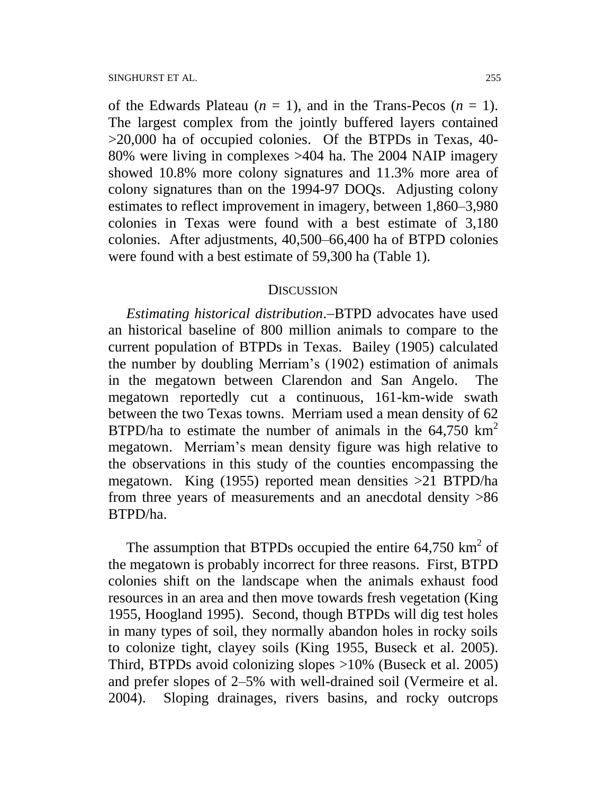of the Edwards Plateau  $(n = 1)$ , and in the Trans-Pecos  $(n = 1)$ . The largest complex from the jointly buffered layers contained >20,000 ha of occupied colonies. Of the BTPDs in Texas, 40- 80% were living in complexes >404 ha. The 2004 NAIP imagery showed 10.8% more colony signatures and 11.3% more area of colony signatures than on the 1994-97 DOQs. Adjusting colony estimates to reflect improvement in imagery, between 1,860–3,980 colonies in Texas were found with a best estimate of 3,180 colonies. After adjustments, 40,500–66,400 ha of BTPD colonies were found with a best estimate of 59,300 ha (Table 1).

#### **DISCUSSION**

*Estimating historical distribution*.-BTPD advocates have used an historical baseline of 800 million animals to compare to the current population of BTPDs in Texas. Bailey (1905) calculated the number by doubling Merriam's (1902) estimation of animals in the megatown between Clarendon and San Angelo. The megatown reportedly cut a continuous, 161-km-wide swath between the two Texas towns. Merriam used a mean density of 62 BTPD/ha to estimate the number of animals in the  $64,750 \text{ km}^2$ megatown. Merriam's mean density figure was high relative to the observations in this study of the counties encompassing the megatown. King (1955) reported mean densities >21 BTPD/ha from three years of measurements and an anecdotal density >86 BTPD/ha.

The assumption that BTPDs occupied the entire  $64,750 \text{ km}^2$  of the megatown is probably incorrect for three reasons. First, BTPD colonies shift on the landscape when the animals exhaust food resources in an area and then move towards fresh vegetation (King 1955, Hoogland 1995). Second, though BTPDs will dig test holes in many types of soil, they normally abandon holes in rocky soils to colonize tight, clayey soils (King 1955, Buseck et al. 2005). Third, BTPDs avoid colonizing slopes >10% (Buseck et al. 2005) and prefer slopes of 2–5% with well-drained soil (Vermeire et al. 2004). Sloping drainages, rivers basins, and rocky outcrops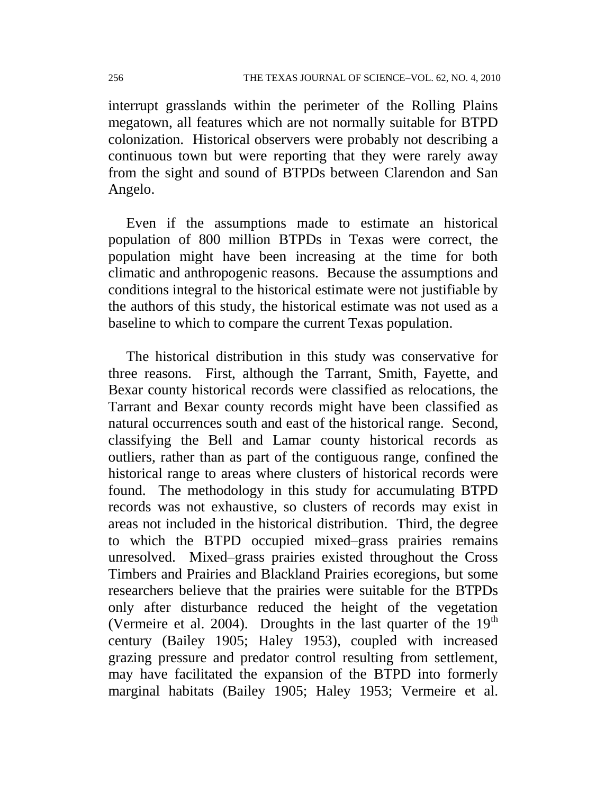interrupt grasslands within the perimeter of the Rolling Plains megatown, all features which are not normally suitable for BTPD colonization. Historical observers were probably not describing a continuous town but were reporting that they were rarely away from the sight and sound of BTPDs between Clarendon and San Angelo.

Even if the assumptions made to estimate an historical population of 800 million BTPDs in Texas were correct, the population might have been increasing at the time for both climatic and anthropogenic reasons. Because the assumptions and conditions integral to the historical estimate were not justifiable by the authors of this study, the historical estimate was not used as a baseline to which to compare the current Texas population.

The historical distribution in this study was conservative for three reasons. First, although the Tarrant, Smith, Fayette, and Bexar county historical records were classified as relocations, the Tarrant and Bexar county records might have been classified as natural occurrences south and east of the historical range. Second, classifying the Bell and Lamar county historical records as outliers, rather than as part of the contiguous range, confined the historical range to areas where clusters of historical records were found. The methodology in this study for accumulating BTPD records was not exhaustive, so clusters of records may exist in areas not included in the historical distribution. Third, the degree to which the BTPD occupied mixed–grass prairies remains unresolved. Mixed–grass prairies existed throughout the Cross Timbers and Prairies and Blackland Prairies ecoregions, but some researchers believe that the prairies were suitable for the BTPDs only after disturbance reduced the height of the vegetation (Vermeire et al. 2004). Droughts in the last quarter of the  $19<sup>th</sup>$ century (Bailey 1905; Haley 1953), coupled with increased grazing pressure and predator control resulting from settlement, may have facilitated the expansion of the BTPD into formerly marginal habitats (Bailey 1905; Haley 1953; Vermeire et al.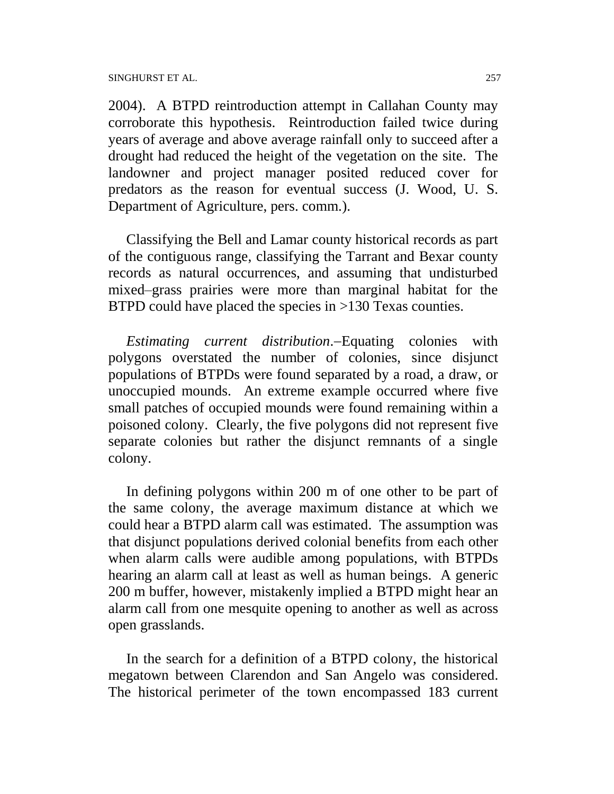SINGHURST ET AL. 257

2004). A BTPD reintroduction attempt in Callahan County may corroborate this hypothesis. Reintroduction failed twice during years of average and above average rainfall only to succeed after a drought had reduced the height of the vegetation on the site. The landowner and project manager posited reduced cover for predators as the reason for eventual success (J. Wood, U. S. Department of Agriculture, pers. comm.).

Classifying the Bell and Lamar county historical records as part of the contiguous range, classifying the Tarrant and Bexar county records as natural occurrences, and assuming that undisturbed mixed–grass prairies were more than marginal habitat for the BTPD could have placed the species in >130 Texas counties.

*Estimating current distribution*.Equating colonies with polygons overstated the number of colonies, since disjunct populations of BTPDs were found separated by a road, a draw, or unoccupied mounds. An extreme example occurred where five small patches of occupied mounds were found remaining within a poisoned colony. Clearly, the five polygons did not represent five separate colonies but rather the disjunct remnants of a single colony.

In defining polygons within 200 m of one other to be part of the same colony, the average maximum distance at which we could hear a BTPD alarm call was estimated. The assumption was that disjunct populations derived colonial benefits from each other when alarm calls were audible among populations, with BTPDs hearing an alarm call at least as well as human beings. A generic 200 m buffer, however, mistakenly implied a BTPD might hear an alarm call from one mesquite opening to another as well as across open grasslands.

In the search for a definition of a BTPD colony, the historical megatown between Clarendon and San Angelo was considered. The historical perimeter of the town encompassed 183 current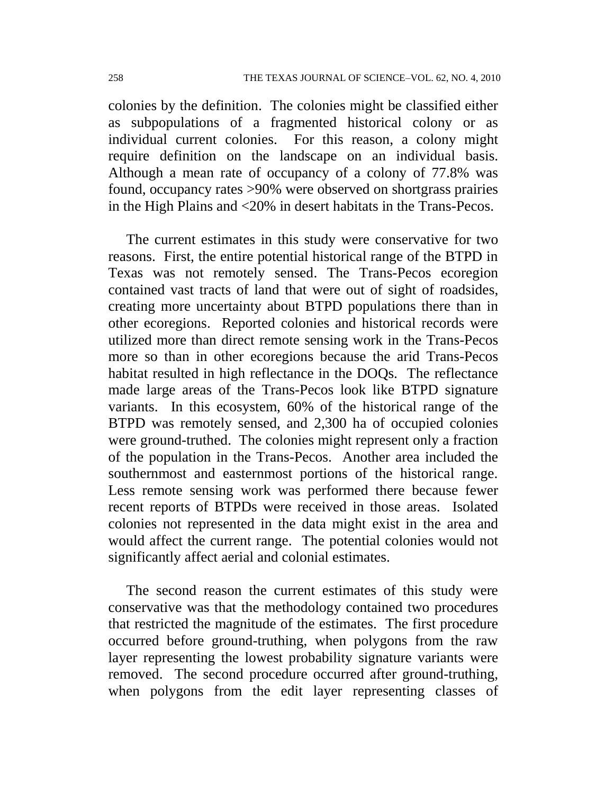colonies by the definition. The colonies might be classified either as subpopulations of a fragmented historical colony or as individual current colonies. For this reason, a colony might require definition on the landscape on an individual basis. Although a mean rate of occupancy of a colony of 77.8% was found, occupancy rates >90% were observed on shortgrass prairies in the High Plains and <20% in desert habitats in the Trans-Pecos.

The current estimates in this study were conservative for two reasons. First, the entire potential historical range of the BTPD in Texas was not remotely sensed. The Trans-Pecos ecoregion contained vast tracts of land that were out of sight of roadsides, creating more uncertainty about BTPD populations there than in other ecoregions. Reported colonies and historical records were utilized more than direct remote sensing work in the Trans-Pecos more so than in other ecoregions because the arid Trans-Pecos habitat resulted in high reflectance in the DOQs. The reflectance made large areas of the Trans-Pecos look like BTPD signature variants. In this ecosystem, 60% of the historical range of the BTPD was remotely sensed, and 2,300 ha of occupied colonies were ground-truthed. The colonies might represent only a fraction of the population in the Trans-Pecos. Another area included the southernmost and easternmost portions of the historical range. Less remote sensing work was performed there because fewer recent reports of BTPDs were received in those areas. Isolated colonies not represented in the data might exist in the area and would affect the current range. The potential colonies would not significantly affect aerial and colonial estimates.

The second reason the current estimates of this study were conservative was that the methodology contained two procedures that restricted the magnitude of the estimates. The first procedure occurred before ground-truthing, when polygons from the raw layer representing the lowest probability signature variants were removed. The second procedure occurred after ground-truthing, when polygons from the edit layer representing classes of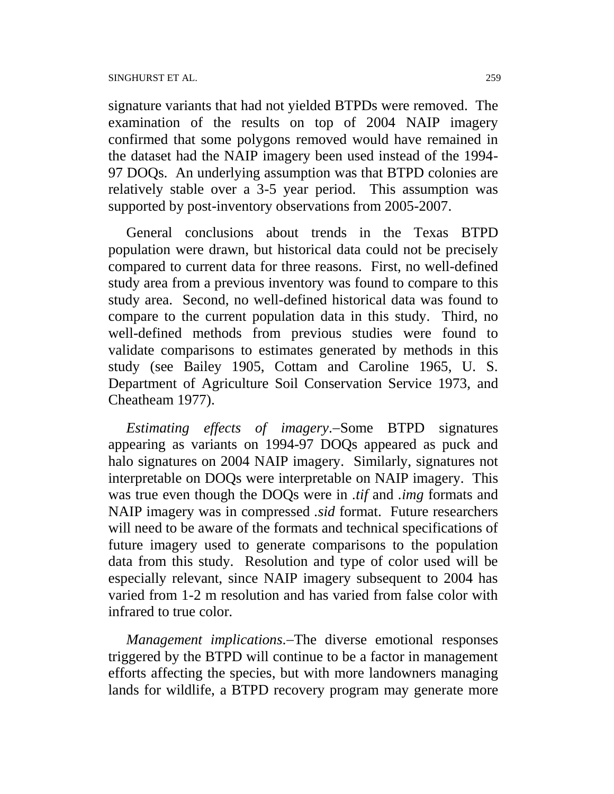signature variants that had not yielded BTPDs were removed. The examination of the results on top of 2004 NAIP imagery confirmed that some polygons removed would have remained in the dataset had the NAIP imagery been used instead of the 1994- 97 DOQs. An underlying assumption was that BTPD colonies are relatively stable over a 3-5 year period. This assumption was supported by post-inventory observations from 2005-2007.

General conclusions about trends in the Texas BTPD population were drawn, but historical data could not be precisely compared to current data for three reasons. First, no well-defined study area from a previous inventory was found to compare to this study area. Second, no well-defined historical data was found to compare to the current population data in this study. Third, no well-defined methods from previous studies were found to validate comparisons to estimates generated by methods in this study (see Bailey 1905, Cottam and Caroline 1965, U. S. Department of Agriculture Soil Conservation Service 1973, and Cheatheam 1977).

*Estimating effects of imagery*.-Some BTPD signatures appearing as variants on 1994-97 DOQs appeared as puck and halo signatures on 2004 NAIP imagery. Similarly, signatures not interpretable on DOQs were interpretable on NAIP imagery. This was true even though the DOQs were in *.tif* and *.img* formats and NAIP imagery was in compressed *.sid* format. Future researchers will need to be aware of the formats and technical specifications of future imagery used to generate comparisons to the population data from this study. Resolution and type of color used will be especially relevant, since NAIP imagery subsequent to 2004 has varied from 1-2 m resolution and has varied from false color with infrared to true color.

*Management implications*. The diverse emotional responses triggered by the BTPD will continue to be a factor in management efforts affecting the species, but with more landowners managing lands for wildlife, a BTPD recovery program may generate more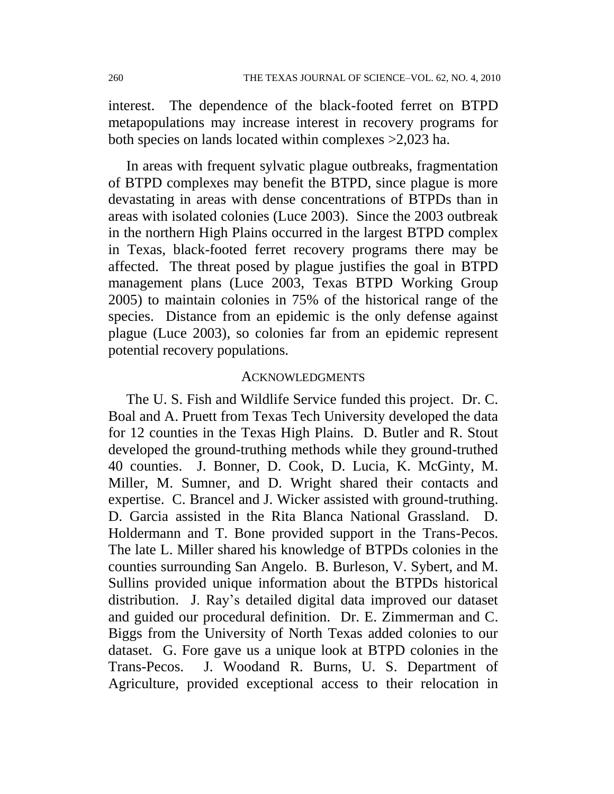interest. The dependence of the black-footed ferret on BTPD metapopulations may increase interest in recovery programs for both species on lands located within complexes >2,023 ha.

In areas with frequent sylvatic plague outbreaks, fragmentation of BTPD complexes may benefit the BTPD, since plague is more devastating in areas with dense concentrations of BTPDs than in areas with isolated colonies (Luce 2003). Since the 2003 outbreak in the northern High Plains occurred in the largest BTPD complex in Texas, black-footed ferret recovery programs there may be affected. The threat posed by plague justifies the goal in BTPD management plans (Luce 2003, Texas BTPD Working Group 2005) to maintain colonies in 75% of the historical range of the species. Distance from an epidemic is the only defense against plague (Luce 2003), so colonies far from an epidemic represent potential recovery populations.

#### ACKNOWLEDGMENTS

The U. S. Fish and Wildlife Service funded this project. Dr. C. Boal and A. Pruett from Texas Tech University developed the data for 12 counties in the Texas High Plains. D. Butler and R. Stout developed the ground-truthing methods while they ground-truthed 40 counties. J. Bonner, D. Cook, D. Lucia, K. McGinty, M. Miller, M. Sumner, and D. Wright shared their contacts and expertise. C. Brancel and J. Wicker assisted with ground-truthing. D. Garcia assisted in the Rita Blanca National Grassland. D. Holdermann and T. Bone provided support in the Trans-Pecos. The late L. Miller shared his knowledge of BTPDs colonies in the counties surrounding San Angelo. B. Burleson, V. Sybert, and M. Sullins provided unique information about the BTPDs historical distribution. J. Ray's detailed digital data improved our dataset and guided our procedural definition. Dr. E. Zimmerman and C. Biggs from the University of North Texas added colonies to our dataset. G. Fore gave us a unique look at BTPD colonies in the Trans-Pecos. J. Woodand R. Burns, U. S. Department of Agriculture, provided exceptional access to their relocation in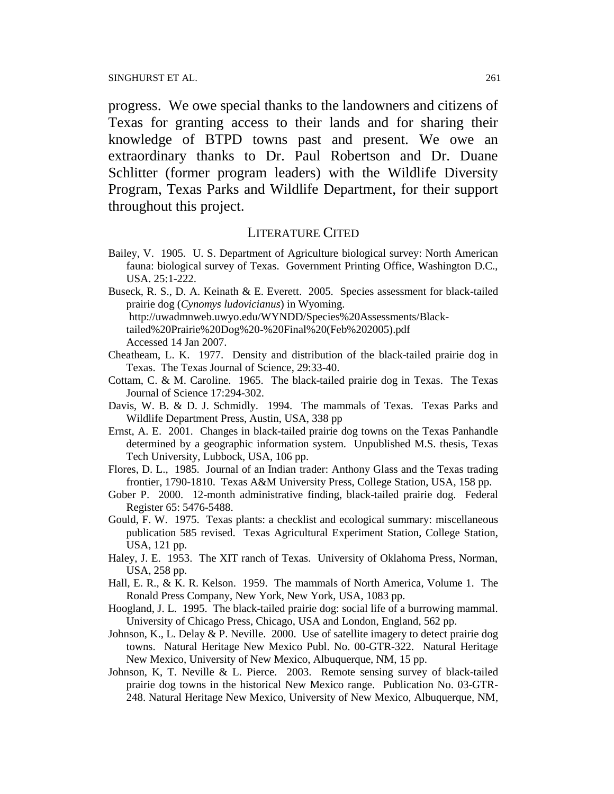progress. We owe special thanks to the landowners and citizens of Texas for granting access to their lands and for sharing their knowledge of BTPD towns past and present. We owe an extraordinary thanks to Dr. Paul Robertson and Dr. Duane Schlitter (former program leaders) with the Wildlife Diversity Program, Texas Parks and Wildlife Department, for their support throughout this project.

### LITERATURE CITED

Bailey, V. 1905. U. S. Department of Agriculture biological survey: North American fauna: biological survey of Texas. Government Printing Office, Washington D.C., USA. 25:1-222.

Buseck, R. S., D. A. Keinath & E. Everett. 2005. Species assessment for black-tailed prairie dog (*Cynomys ludovicianus*) in Wyoming. http://uwadmnweb.uwyo.edu/WYNDD/Species%20Assessments/Blacktailed%20Prairie%20Dog%20-%20Final%20(Feb%202005).pdf Accessed 14 Jan 2007.

- Cheatheam, L. K. 1977. Density and distribution of the black-tailed prairie dog in Texas. The Texas Journal of Science, 29:33-40.
- Cottam, C. & M. Caroline. 1965. The black-tailed prairie dog in Texas. The Texas Journal of Science 17:294-302.
- Davis, W. B. & D. J. Schmidly. 1994. The mammals of Texas. Texas Parks and Wildlife Department Press, Austin, USA, 338 pp
- Ernst, A. E. 2001. Changes in black-tailed prairie dog towns on the Texas Panhandle determined by a geographic information system. Unpublished M.S. thesis, Texas Tech University, Lubbock, USA, 106 pp.
- Flores, D. L., 1985. Journal of an Indian trader: Anthony Glass and the Texas trading frontier, 1790-1810. Texas A&M University Press, College Station, USA, 158 pp.
- Gober P. 2000. 12-month administrative finding, black-tailed prairie dog. Federal Register 65: 5476-5488.
- Gould, F. W. 1975. Texas plants: a checklist and ecological summary: miscellaneous publication 585 revised. Texas Agricultural Experiment Station, College Station, USA, 121 pp.
- Haley, J. E. 1953. The XIT ranch of Texas. University of Oklahoma Press, Norman, USA, 258 pp.
- Hall, E. R., & K. R. Kelson. 1959. The mammals of North America, Volume 1. The Ronald Press Company, New York, New York, USA, 1083 pp.
- Hoogland, J. L. 1995. The black-tailed prairie dog: social life of a burrowing mammal. University of Chicago Press, Chicago, USA and London, England, 562 pp.
- Johnson, K., L. Delay & P. Neville. 2000. Use of satellite imagery to detect prairie dog towns. Natural Heritage New Mexico Publ. No. 00-GTR-322. Natural Heritage New Mexico, University of New Mexico, Albuquerque, NM, 15 pp.
- Johnson, K, T. Neville & L. Pierce. 2003. Remote sensing survey of black-tailed prairie dog towns in the historical New Mexico range. Publication No. 03-GTR-248. Natural Heritage New Mexico, University of New Mexico, Albuquerque, NM,